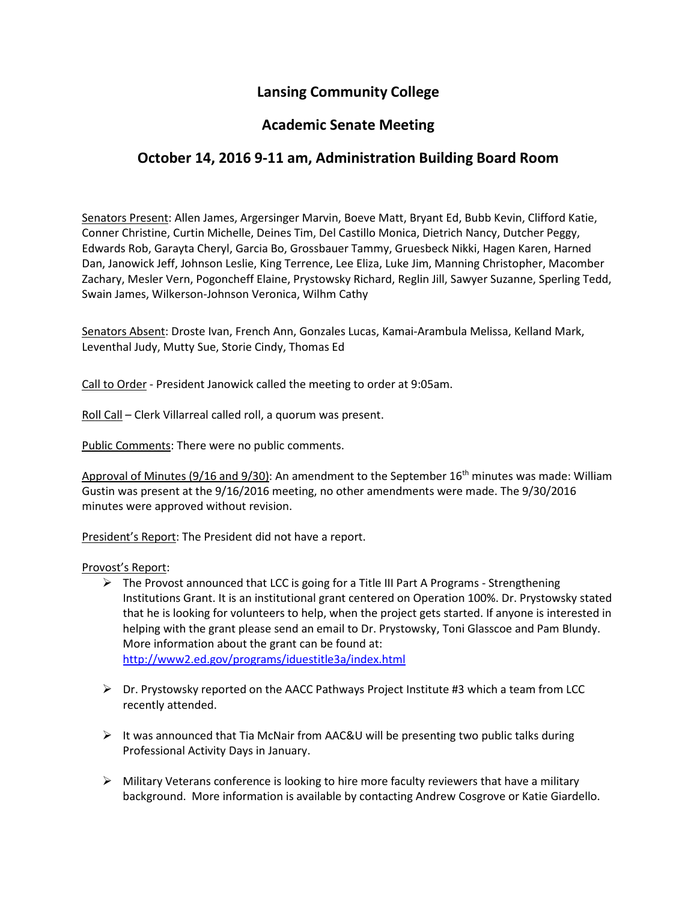## **Lansing Community College**

## **Academic Senate Meeting**

## **October 14, 2016 9-11 am, Administration Building Board Room**

Senators Present: Allen James, Argersinger Marvin, Boeve Matt, Bryant Ed, Bubb Kevin, Clifford Katie, Conner Christine, Curtin Michelle, Deines Tim, Del Castillo Monica, Dietrich Nancy, Dutcher Peggy, Edwards Rob, Garayta Cheryl, Garcia Bo, Grossbauer Tammy, Gruesbeck Nikki, Hagen Karen, Harned Dan, Janowick Jeff, Johnson Leslie, King Terrence, Lee Eliza, Luke Jim, Manning Christopher, Macomber Zachary, Mesler Vern, Pogoncheff Elaine, Prystowsky Richard, Reglin Jill, Sawyer Suzanne, Sperling Tedd, Swain James, Wilkerson-Johnson Veronica, Wilhm Cathy

Senators Absent: Droste Ivan, French Ann, Gonzales Lucas, Kamai-Arambula Melissa, Kelland Mark, Leventhal Judy, Mutty Sue, Storie Cindy, Thomas Ed

Call to Order - President Janowick called the meeting to order at 9:05am.

Roll Call – Clerk Villarreal called roll, a quorum was present.

Public Comments: There were no public comments.

Approval of Minutes (9/16 and 9/30): An amendment to the September 16<sup>th</sup> minutes was made: William Gustin was present at the 9/16/2016 meeting, no other amendments were made. The 9/30/2016 minutes were approved without revision.

President's Report: The President did not have a report.

## Provost's Report:

- $\triangleright$  The Provost announced that LCC is going for [a Title III Part A Programs -](http://www2.ed.gov/programs/iduestitle3a/index.html) Strengthening [Institutions](http://www2.ed.gov/programs/iduestitle3a/index.html) Grant. It is an institutional grant centered on Operation 100%. Dr. Prystowsky stated that he is looking for volunteers to help, when the project gets started. If anyone is interested in helping with the grant please send an email to Dr. Prystowsky, Toni Glasscoe and Pam Blundy. More information about the grant can be found at: <http://www2.ed.gov/programs/iduestitle3a/index.html>
- $\triangleright$  Dr. Prystowsky reported on the AACC Pathways Project Institute #3 which a team from LCC recently attended.
- $\triangleright$  It was announced that Tia McNair from AAC&U will be presenting two public talks during Professional Activity Days in January.
- $\triangleright$  Military Veterans conference is looking to hire more faculty reviewers that have a military background. More information is available by contacting Andrew Cosgrove or Katie Giardello.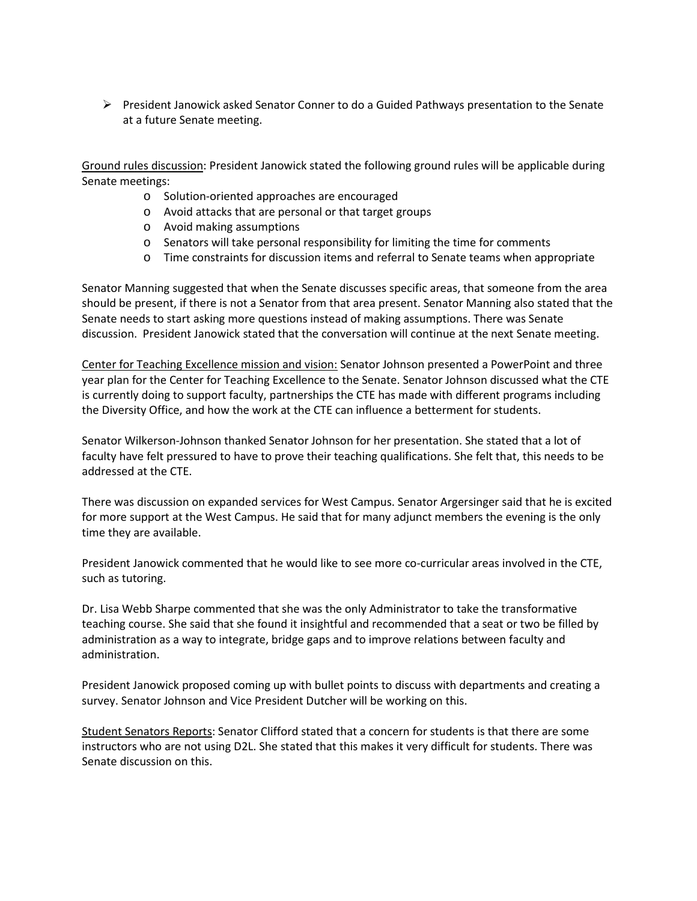$\triangleright$  President Janowick asked Senator Conner to do a Guided Pathways presentation to the Senate at a future Senate meeting.

Ground rules discussion: President Janowick stated the following ground rules will be applicable during Senate meetings:

- o Solution-oriented approaches are encouraged
- o Avoid attacks that are personal or that target groups
- o Avoid making assumptions
- o Senators will take personal responsibility for limiting the time for comments
- o Time constraints for discussion items and referral to Senate teams when appropriate

Senator Manning suggested that when the Senate discusses specific areas, that someone from the area should be present, if there is not a Senator from that area present. Senator Manning also stated that the Senate needs to start asking more questions instead of making assumptions. There was Senate discussion. President Janowick stated that the conversation will continue at the next Senate meeting.

Center for Teaching Excellence mission and vision: Senator Johnson presented a PowerPoint and three year plan for the Center for Teaching Excellence to the Senate. Senator Johnson discussed what the CTE is currently doing to support faculty, partnerships the CTE has made with different programs including the Diversity Office, and how the work at the CTE can influence a betterment for students.

Senator Wilkerson-Johnson thanked Senator Johnson for her presentation. She stated that a lot of faculty have felt pressured to have to prove their teaching qualifications. She felt that, this needs to be addressed at the CTE.

There was discussion on expanded services for West Campus. Senator Argersinger said that he is excited for more support at the West Campus. He said that for many adjunct members the evening is the only time they are available.

President Janowick commented that he would like to see more co-curricular areas involved in the CTE, such as tutoring.

Dr. Lisa Webb Sharpe commented that she was the only Administrator to take the transformative teaching course. She said that she found it insightful and recommended that a seat or two be filled by administration as a way to integrate, bridge gaps and to improve relations between faculty and administration.

President Janowick proposed coming up with bullet points to discuss with departments and creating a survey. Senator Johnson and Vice President Dutcher will be working on this.

Student Senators Reports: Senator Clifford stated that a concern for students is that there are some instructors who are not using D2L. She stated that this makes it very difficult for students. There was Senate discussion on this.